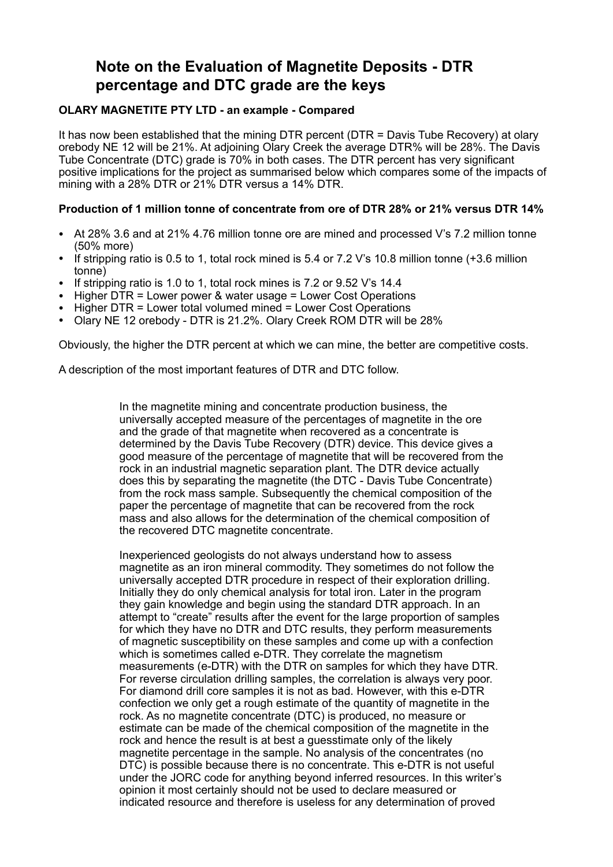## **Note on the Evaluation of Magnetite Deposits - DTR percentage and DTC grade are the keys**

## **OLARY MAGNETITE PTY LTD - an example - Compared**

It has now been established that the mining DTR percent (DTR = Davis Tube Recovery) at olary orebody NE 12 will be 21%. At adjoining Olary Creek the average DTR% will be 28%. The Davis Tube Concentrate (DTC) grade is 70% in both cases. The DTR percent has very significant positive implications for the project as summarised below which compares some of the impacts of mining with a 28% DTR or 21% DTR versus a 14% DTR.

## **Production of 1 million tonne of concentrate from ore of DTR 28% or 21% versus DTR 14%**

- At 28% 3.6 and at 21% 4.76 million tonne ore are mined and processed V's 7.2 million tonne (50% more)
- If stripping ratio is 0.5 to 1, total rock mined is 5.4 or 7.2 V's 10.8 million tonne (+3.6 million tonne)
- If stripping ratio is 1.0 to 1, total rock mines is 7.2 or 9.52 V's 14.4
- Higher DTR = Lower power & water usage = Lower Cost Operations
- Higher DTR = Lower total volumed mined = Lower Cost Operations
- Olary NE 12 orebody DTR is 21.2%. Olary Creek ROM DTR will be 28%

Obviously, the higher the DTR percent at which we can mine, the better are competitive costs.

A description of the most important features of DTR and DTC follow.

In the magnetite mining and concentrate production business, the universally accepted measure of the percentages of magnetite in the ore and the grade of that magnetite when recovered as a concentrate is determined by the Davis Tube Recovery (DTR) device. This device gives a good measure of the percentage of magnetite that will be recovered from the rock in an industrial magnetic separation plant. The DTR device actually does this by separating the magnetite (the DTC - Davis Tube Concentrate) from the rock mass sample. Subsequently the chemical composition of the paper the percentage of magnetite that can be recovered from the rock mass and also allows for the determination of the chemical composition of the recovered DTC magnetite concentrate.

Inexperienced geologists do not always understand how to assess magnetite as an iron mineral commodity. They sometimes do not follow the universally accepted DTR procedure in respect of their exploration drilling. Initially they do only chemical analysis for total iron. Later in the program they gain knowledge and begin using the standard DTR approach. In an attempt to "create" results after the event for the large proportion of samples for which they have no DTR and DTC results, they perform measurements of magnetic susceptibility on these samples and come up with a confection which is sometimes called e-DTR. They correlate the magnetism measurements (e-DTR) with the DTR on samples for which they have DTR. For reverse circulation drilling samples, the correlation is always very poor. For diamond drill core samples it is not as bad. However, with this e-DTR confection we only get a rough estimate of the quantity of magnetite in the rock. As no magnetite concentrate (DTC) is produced, no measure or estimate can be made of the chemical composition of the magnetite in the rock and hence the result is at best a guesstimate only of the likely magnetite percentage in the sample. No analysis of the concentrates (no DTC) is possible because there is no concentrate. This e-DTR is not useful under the JORC code for anything beyond inferred resources. In this writer's opinion it most certainly should not be used to declare measured or indicated resource and therefore is useless for any determination of proved